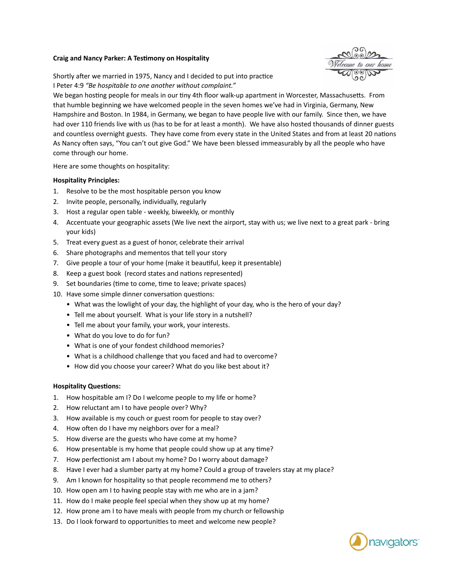## **Craig and Nancy Parker: A Testimony on Hospitality**

Shortly after we married in 1975, Nancy and I decided to put into practice I Peter 4:9 "Be hospitable to one another without complaint."

We began hosting people for meals in our tiny 4th floor walk-up apartment in Worcester, Massachusetts. From that humble beginning we have welcomed people in the seven homes we've had in Virginia, Germany, New Hampshire and Boston. In 1984, in Germany, we began to have people live with our family. Since then, we have had over 110 friends live with us (has to be for at least a month). We have also hosted thousands of dinner guests and countless overnight guests. They have come from every state in the United States and from at least 20 nations As Nancy often says, "You can't out give God." We have been blessed immeasurably by all the people who have come through our home.

Here are some thoughts on hospitality:

## **Hospitality Principles:**

- 1. Resolve to be the most hospitable person you know
- 2. Invite people, personally, individually, regularly
- 3. Host a regular open table weekly, biweekly, or monthly
- 4. Accentuate your geographic assets (We live next the airport, stay with us; we live next to a great park bring your kids)
- 5. Treat every guest as a guest of honor, celebrate their arrival
- 6. Share photographs and mementos that tell your story
- 7. Give people a tour of your home (make it beautiful, keep it presentable)
- 8. Keep a guest book (record states and nations represented)
- 9. Set boundaries (time to come, time to leave; private spaces)
- 10. Have some simple dinner conversation questions:
	- What was the lowlight of your day, the highlight of your day, who is the hero of your day?
	- Tell me about yourself. What is your life story in a nutshell?
	- Tell me about your family, your work, your interests.
	- What do you love to do for fun?
	- What is one of your fondest childhood memories?
	- What is a childhood challenge that you faced and had to overcome?
	- How did you choose your career? What do you like best about it?

## **Hospitality Questions:**

- 1. How hospitable am I? Do I welcome people to my life or home?
- 2. How reluctant am I to have people over? Why?
- 3. How available is my couch or guest room for people to stay over?
- 4. How often do I have my neighbors over for a meal?
- 5. How diverse are the guests who have come at my home?
- 6. How presentable is my home that people could show up at any time?
- 7. How perfectionist am I about my home? Do I worry about damage?
- 8. Have I ever had a slumber party at my home? Could a group of travelers stay at my place?
- 9. Am I known for hospitality so that people recommend me to others?
- 10. How open am I to having people stay with me who are in a jam?
- 11. How do I make people feel special when they show up at my home?
- 12. How prone am I to have meals with people from my church or fellowship
- 13. Do I look forward to opportunities to meet and welcome new people?